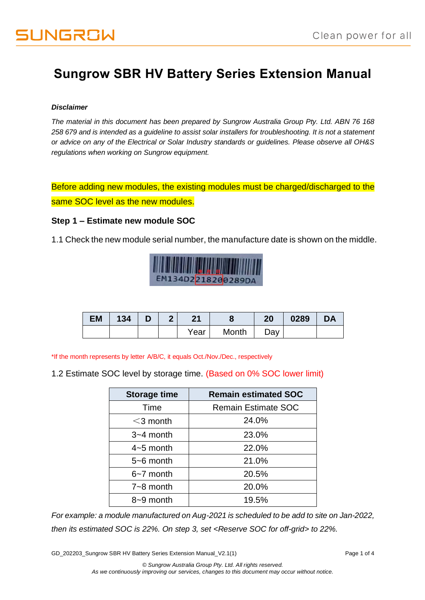# **Sungrow SBR HV Battery Series Extension Manual**

#### *Disclaimer*

*The material in this document has been prepared by Sungrow Australia Group Pty. Ltd. ABN 76 168 258 679 and is intended as a guideline to assist solar installers for troubleshooting. It is not a statement or advice on any of the Electrical or Solar Industry standards or guidelines. Please observe all OH&S regulations when working on Sungrow equipment.*

Before adding new modules, the existing modules must be charged/discharged to the same SOC level as the new modules.

#### **Step 1 – Estimate new module SOC**

1.1 Check the new module serial number, the manufacture date is shown on the middle.



| <b>EM</b> | 134 | $\blacksquare$ | 2 | 21   |       | 20          | 0289 | <b>DA</b> |
|-----------|-----|----------------|---|------|-------|-------------|------|-----------|
|           |     |                |   | Year | Month | $\Delta$ ay |      |           |

\*If the month represents by letter A/B/C, it equals Oct./Nov./Dec., respectively

1.2 Estimate SOC level by storage time. (Based on 0% SOC lower limit)

| <b>Storage time</b> | <b>Remain estimated SOC</b> |  |  |  |
|---------------------|-----------------------------|--|--|--|
| Time                | <b>Remain Estimate SOC</b>  |  |  |  |
| $<$ 3 month         | 24.0%                       |  |  |  |
| $3 - 4$ month       | 23.0%                       |  |  |  |
| $4 - 5$ month       | 22.0%                       |  |  |  |
| $5 - 6$ month       | 21.0%                       |  |  |  |
| $6-7$ month         | 20.5%                       |  |  |  |
| $7 - 8$ month       | 20.0%                       |  |  |  |
| 8~9 month           | 19.5%                       |  |  |  |

*For example: a module manufactured on Aug-2021 is scheduled to be add to site on Jan-2022, then its estimated SOC is 22%. On step 3, set <Reserve SOC for off-grid> to 22%.* 

GD\_202203\_Sungrow SBR HV Battery Series Extension Manual\_V2.1(1) extension of 4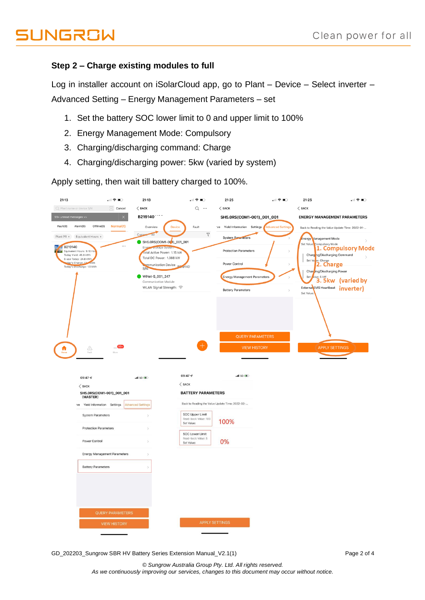# **JUNGROW**

# **Step 2 – Charge existing modules to full**

Log in installer account on iSolarCloud app, go to Plant – Device – Select inverter – Advanced Setting – Energy Management Parameters – set

- 1. Set the battery SOC lower limit to 0 and upper limit to 100%
- 2. Energy Management Mode: Compulsory
- 3. Charging/discharging command: Charge
- 4. Charging/discharging power: 5kw (varied by system)

Apply setting, then wait till battery charged to 100%.



GD\_202203\_Sungrow SBR HV Battery Series Extension Manual\_V2.1(1) extension of the extension of the extension of the extension of the extension of the extension of the extension of the extension of the extension of the exte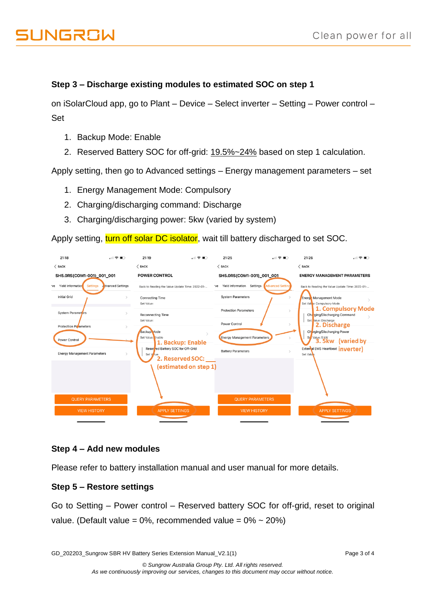# **Step 3 – Discharge existing modules to estimated SOC on step 1**

on iSolarCloud app, go to Plant – Device – Select inverter – Setting – Power control – Set

- 1. Backup Mode: Enable
- 2. Reserved Battery SOC for off-grid: 19.5%~24% based on step 1 calculation.

Apply setting, then go to Advanced settings – Energy management parameters – set

- 1. Energy Management Mode: Compulsory
- 2. Charging/discharging command: Discharge
- 3. Charging/discharging power: 5kw (varied by system)

Apply setting, turn off solar DC isolator, wait till battery discharged to set SOC.

| 21:18                               | .⊪ 우 ■ ○                                     | 21:19                                                               | …I T O                    | 21:25                                          | …I S ID                                                | 21:26                                               | 川幸田                |  |
|-------------------------------------|----------------------------------------------|---------------------------------------------------------------------|---------------------------|------------------------------------------------|--------------------------------------------------------|-----------------------------------------------------|--------------------|--|
| $\langle$ BACK                      |                                              | $\langle$ BACK                                                      |                           | $\langle$ BACK                                 |                                                        | $\langle$ BACK                                      |                    |  |
| SH5.0RS(COM1-001)_001_001           |                                              | <b>POWER CONTROL</b>                                                |                           | SH5.0RS(COM1-001)_001_001                      |                                                        | <b>ENERGY MANAGEMENT PARAMETERS</b>                 |                    |  |
| Yield Information<br>ve             | <b>J</b> dvanced Settings<br><b>Settings</b> | Back to Reading the Value Update Time: 2022-01-                     |                           | <b>Yield Information</b><br>ve                 | Settings<br><b>Advanced Setting</b>                    | Back to Reading the Value Update Time: 2022-01-     |                    |  |
| <b>Initial Grid</b>                 |                                              | <b>Connecting Time</b><br>Set Value:                                |                           | <b>System Parameters</b>                       |                                                        | Energ Management Mode<br>Set Val e: Compulsory Mode |                    |  |
| <b>System Parameters</b>            |                                              | <b>Reconnecting Time</b>                                            |                           | <b>Protection Parameters</b>                   |                                                        | Charging/Discharging Command                        | 1. Compulsory Mode |  |
| Protection Palameters               |                                              | Set Value:                                                          |                           | Power Control                                  |                                                        | Set alue: Discharge<br>2. Discharge                 |                    |  |
| Power Control                       |                                              | Backup Mode<br>Set Value: Enable<br>1. Backup: Enable               |                           | <b>Energy Management Parameters</b>            |                                                        | Charging/Discharging Power<br>Set Value: 5 kW       | 3.5kw (varied by   |  |
| <b>Energy Management Parameters</b> |                                              | Reserved Battery SOC for Off-Grid<br>Set V lue:<br>2. Reserved SOC: | <b>Battery Parameters</b> |                                                | External EMS Heartbeat <i>inverter</i> )<br>Set Value: |                                                     |                    |  |
|                                     |                                              |                                                                     | (estimated on step 1)     |                                                |                                                        |                                                     |                    |  |
| <b>QUERY PARAMETERS</b>             |                                              | <b>APPLY SETTINGS</b>                                               |                           | <b>QUERY PARAMETERS</b><br><b>VIEW HISTORY</b> |                                                        | <b>APPLY SETTINGS</b>                               |                    |  |
| <b>VIEW HISTORY</b>                 |                                              |                                                                     |                           |                                                |                                                        |                                                     |                    |  |
|                                     |                                              |                                                                     |                           |                                                |                                                        |                                                     |                    |  |

### **Step 4 – Add new modules**

Please refer to battery installation manual and user manual for more details.

### **Step 5 – Restore settings**

Go to Setting – Power control – Reserved battery SOC for off-grid, reset to original value. (Default value =  $0\%$ , recommended value =  $0\% \sim 20\%$ )

GD\_202203\_Sungrow SBR HV Battery Series Extension Manual\_V2.1(1) extension of the extension of 4